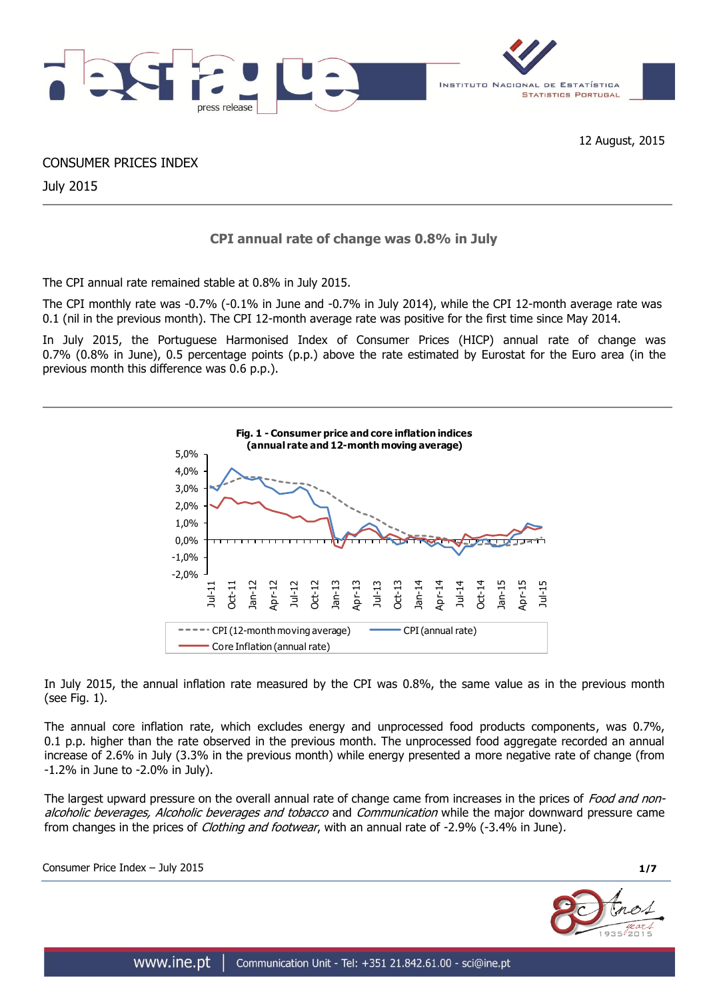

CONSUMER PRICES INDEX

July 2015

# **CPI annual rate of change was 0.8% in July**

The CPI annual rate remained stable at 0.8% in July 2015.

The CPI monthly rate was -0.7% (-0.1% in June and -0.7% in July 2014), while the CPI 12-month average rate was 0.1 (nil in the previous month). The CPI 12-month average rate was positive for the first time since May 2014.

In July 2015, the Portuguese Harmonised Index of Consumer Prices (HICP) annual rate of change was 0.7% (0.8% in June), 0.5 percentage points (p.p.) above the rate estimated by Eurostat for the Euro area (in the previous month this difference was 0.6 p.p.).



In July 2015, the annual inflation rate measured by the CPI was 0.8%, the same value as in the previous month (see Fig. 1).

The annual core inflation rate, which excludes energy and unprocessed food products components, was 0.7%, 0.1 p.p. higher than the rate observed in the previous month. The unprocessed food aggregate recorded an annual increase of 2.6% in July (3.3% in the previous month) while energy presented a more negative rate of change (from -1.2% in June to -2.0% in July).

The largest upward pressure on the overall annual rate of change came from increases in the prices of Food and nonalcoholic beverages, Alcoholic beverages and tobacco and Communication while the major downward pressure came from changes in the prices of *Clothing and footwear*, with an annual rate of -2.9% (-3.4% in June).

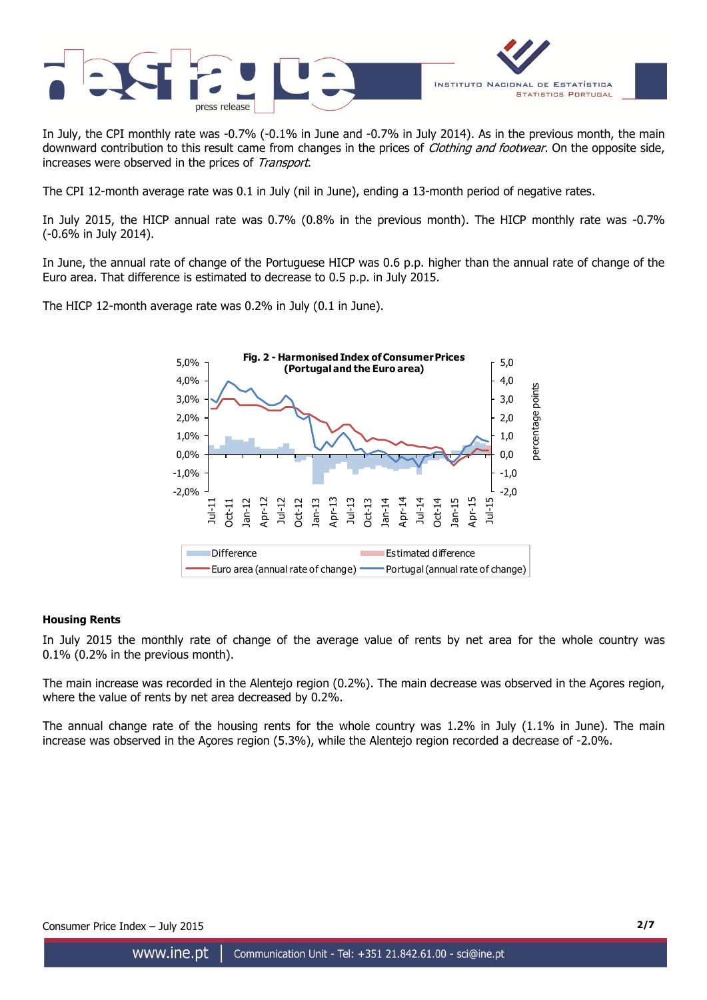

In July, the CPI monthly rate was -0.7% (-0.1% in June and -0.7% in July 2014). As in the previous month, the main downward contribution to this result came from changes in the prices of Clothing and footwear. On the opposite side, increases were observed in the prices of Transport.

The CPI 12-month average rate was 0.1 in July (nil in June), ending a 13-month period of negative rates.

In July 2015, the HICP annual rate was 0.7% (0.8% in the previous month). The HICP monthly rate was -0.7% (-0.6% in July 2014).

In June, the annual rate of change of the Portuguese HICP was 0.6 p.p. higher than the annual rate of change of the Euro area. That difference is estimated to decrease to 0.5 p.p. in July 2015.

The HICP 12-month average rate was 0.2% in July (0.1 in June).



# **Housing Rents**

In July 2015 the monthly rate of change of the average value of rents by net area for the whole country was 0.1% (0.2% in the previous month).

The main increase was recorded in the Alentejo region (0.2%). The main decrease was observed in the Açores region, where the value of rents by net area decreased by 0.2%.

The annual change rate of the housing rents for the whole country was 1.2% in July (1.1% in June). The main increase was observed in the Açores region (5.3%), while the Alentejo region recorded a decrease of -2.0%.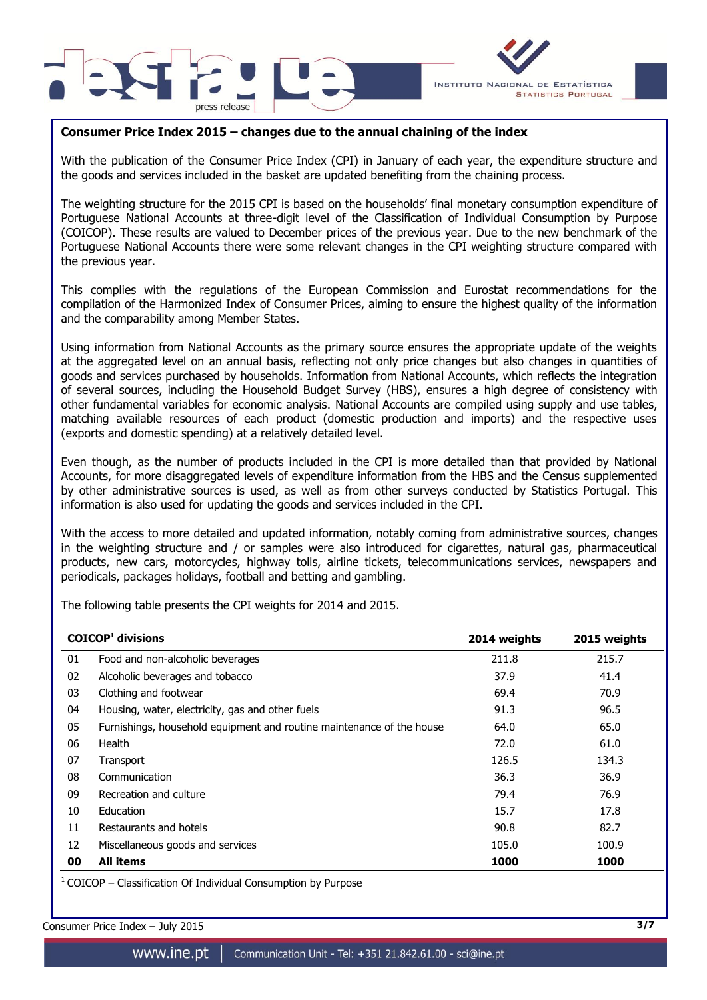



# **Consumer Price Index 2015 – changes due to the annual chaining of the index**

With the publication of the Consumer Price Index (CPI) in January of each year, the expenditure structure and the goods and services included in the basket are updated benefiting from the chaining process.

The weighting structure for the 2015 CPI is based on the households' final monetary consumption expenditure of Portuguese National Accounts at three-digit level of the Classification of Individual Consumption by Purpose (COICOP). These results are valued to December prices of the previous year. Due to the new benchmark of the Portuguese National Accounts there were some relevant changes in the CPI weighting structure compared with the previous year.

This complies with the regulations of the European Commission and Eurostat recommendations for the compilation of the Harmonized Index of Consumer Prices, aiming to ensure the highest quality of the information and the comparability among Member States.

Using information from National Accounts as the primary source ensures the appropriate update of the weights at the aggregated level on an annual basis, reflecting not only price changes but also changes in quantities of goods and services purchased by households. Information from National Accounts, which reflects the integration of several sources, including the Household Budget Survey (HBS), ensures a high degree of consistency with other fundamental variables for economic analysis. National Accounts are compiled using supply and use tables, matching available resources of each product (domestic production and imports) and the respective uses (exports and domestic spending) at a relatively detailed level.

Even though, as the number of products included in the CPI is more detailed than that provided by National Accounts, for more disaggregated levels of expenditure information from the HBS and the Census supplemented by other administrative sources is used, as well as from other surveys conducted by Statistics Portugal. This information is also used for updating the goods and services included in the CPI.

With the access to more detailed and updated information, notably coming from administrative sources, changes in the weighting structure and / or samples were also introduced for cigarettes, natural gas, pharmaceutical products, new cars, motorcycles, highway tolls, airline tickets, telecommunications services, newspapers and periodicals, packages holidays, football and betting and gambling.

The following table presents the CPI weights for 2014 and 2015.

|    | $COICOP1$ divisions                                                   | 2014 weights | 2015 weights |
|----|-----------------------------------------------------------------------|--------------|--------------|
| 01 | Food and non-alcoholic beverages                                      | 211.8        | 215.7        |
| 02 | Alcoholic beverages and tobacco                                       | 37.9         | 41.4         |
| 03 | Clothing and footwear                                                 | 69.4         | 70.9         |
| 04 | Housing, water, electricity, gas and other fuels                      | 91.3         | 96.5         |
| 05 | Furnishings, household equipment and routine maintenance of the house | 64.0         | 65.0         |
| 06 | Health                                                                | 72.0         | 61.0         |
| 07 | Transport                                                             | 126.5        | 134.3        |
| 08 | Communication                                                         | 36.3         | 36.9         |
| 09 | Recreation and culture                                                | 79.4         | 76.9         |
| 10 | Education                                                             | 15.7         | 17.8         |
| 11 | Restaurants and hotels                                                | 90.8         | 82.7         |
| 12 | Miscellaneous goods and services                                      | 105.0        | 100.9        |
| 00 | <b>All items</b>                                                      | 1000         | 1000         |

 $1$  COICOP – Classification Of Individual Consumption by Purpose

Consumer Price Index – July 2015 **3/7**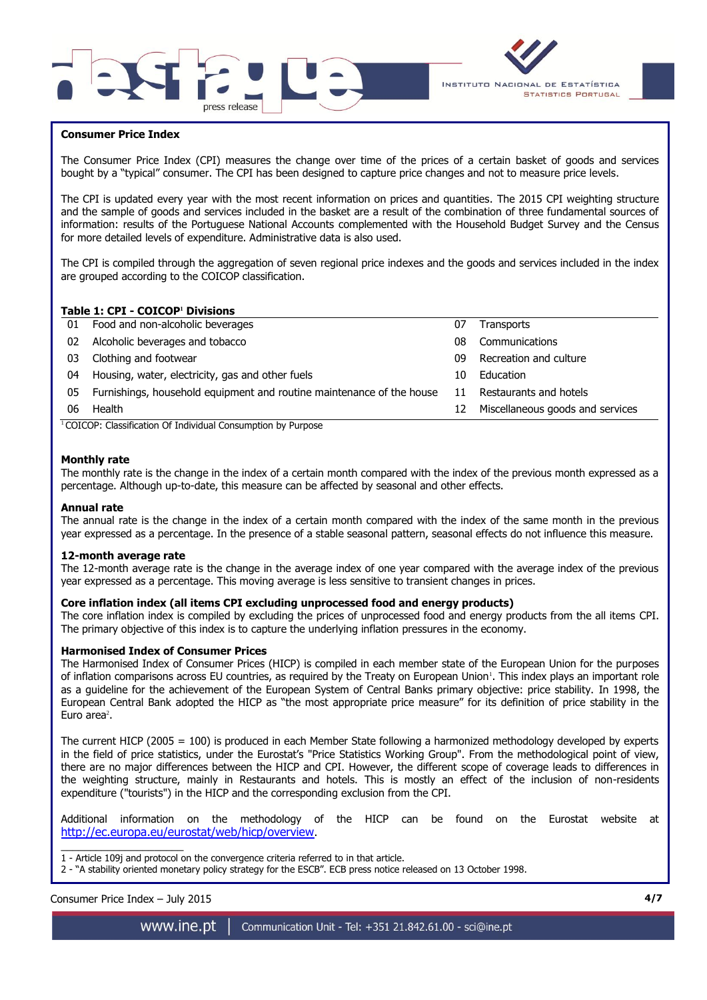



## **Consumer Price Index**

The Consumer Price Index (CPI) measures the change over time of the prices of a certain basket of goods and services bought by a "typical" consumer. The CPI has been designed to capture price changes and not to measure price levels.

The CPI is updated every year with the most recent information on prices and quantities. The 2015 CPI weighting structure and the sample of goods and services included in the basket are a result of the combination of three fundamental sources of information: results of the Portuguese National Accounts complemented with the Household Budget Survey and the Census for more detailed levels of expenditure. Administrative data is also used.

The CPI is compiled through the aggregation of seven regional price indexes and the goods and services included in the index are grouped according to the COICOP classification.

# **Table 1: CPI - COICOP<sup>1</sup> Divisions**

| 01 | Food and non-alcoholic beverages                                      | 07 | <b>Transports</b>                |
|----|-----------------------------------------------------------------------|----|----------------------------------|
| 02 | Alcoholic beverages and tobacco                                       | 08 | Communications                   |
| 03 | Clothing and footwear                                                 | 09 | Recreation and culture           |
| 04 | Housing, water, electricity, gas and other fuels                      | 10 | Education                        |
| 05 | Furnishings, household equipment and routine maintenance of the house | 11 | Restaurants and hotels           |
| 06 | Health                                                                | 12 | Miscellaneous goods and services |
|    | $\cdots$<br>$\cdots$<br>$\sim$                                        |    |                                  |

<sup>1</sup> COICOP: Classification Of Individual Consumption by Purpose

#### **Monthly rate**

The monthly rate is the change in the index of a certain month compared with the index of the previous month expressed as a percentage. Although up-to-date, this measure can be affected by seasonal and other effects.

#### **Annual rate**

The annual rate is the change in the index of a certain month compared with the index of the same month in the previous year expressed as a percentage. In the presence of a stable seasonal pattern, seasonal effects do not influence this measure.

#### **12-month average rate**

The 12-month average rate is the change in the average index of one year compared with the average index of the previous year expressed as a percentage. This moving average is less sensitive to transient changes in prices.

#### **Core inflation index (all items CPI excluding unprocessed food and energy products)**

The core inflation index is compiled by excluding the prices of unprocessed food and energy products from the all items CPI. The primary objective of this index is to capture the underlying inflation pressures in the economy.

#### **Harmonised Index of Consumer Prices**

The Harmonised Index of Consumer Prices (HICP) is compiled in each member state of the European Union for the purposes of inflation comparisons across EU countries, as required by the Treaty on European Union<sup>1</sup>. This index plays an important role as a guideline for the achievement of the European System of Central Banks primary objective: price stability. In 1998, the European Central Bank adopted the HICP as "the most appropriate price measure" for its definition of price stability in the Euro area $2$ .

The current HICP (2005 = 100) is produced in each Member State following a harmonized methodology developed by experts in the field of price statistics, under the Eurostat's "Price Statistics Working Group". From the methodological point of view, there are no major differences between the HICP and CPI. However, the different scope of coverage leads to differences in the weighting structure, mainly in Restaurants and hotels. This is mostly an effect of the inclusion of non-residents expenditure ("tourists") in the HICP and the corresponding exclusion from the CPI.

Additional information on the methodology of the HICP can be found on the Eurostat website at <http://ec.europa.eu/eurostat/web/hicp/overview>.

 $\overline{\phantom{a}}$  , and the set of the set of the set of the set of the set of the set of the set of the set of the set of the set of the set of the set of the set of the set of the set of the set of the set of the set of the s 1 - Article 109j and protocol on the convergence criteria referred to in that article.

2 - "A stability oriented monetary policy strategy for the ESCB". ECB press notice released on 13 October 1998.

Consumer Price Index – July 2015 **4/7**

www.ine.pt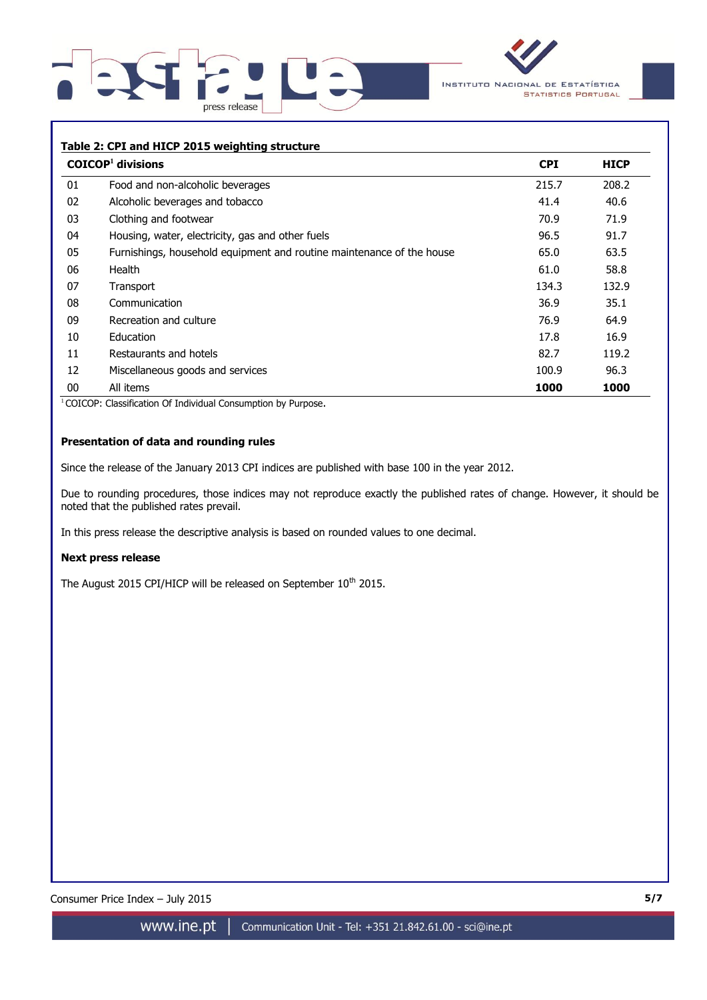



## **Table 2: CPI and HICP 2015 weighting structure**

|    | $COICOP1$ divisions                                                   | <b>CPI</b> | <b>HICP</b> |
|----|-----------------------------------------------------------------------|------------|-------------|
| 01 | Food and non-alcoholic beverages                                      | 215.7      | 208.2       |
| 02 | Alcoholic beverages and tobacco                                       | 41.4       | 40.6        |
| 03 | Clothing and footwear                                                 | 70.9       | 71.9        |
| 04 | Housing, water, electricity, gas and other fuels                      | 96.5       | 91.7        |
| 05 | Furnishings, household equipment and routine maintenance of the house | 65.0       | 63.5        |
| 06 | Health                                                                | 61.0       | 58.8        |
| 07 | Transport                                                             | 134.3      | 132.9       |
| 08 | Communication                                                         | 36.9       | 35.1        |
| 09 | Recreation and culture                                                | 76.9       | 64.9        |
| 10 | <b>Education</b>                                                      | 17.8       | 16.9        |
| 11 | Restaurants and hotels                                                | 82.7       | 119.2       |
| 12 | Miscellaneous goods and services                                      | 100.9      | 96.3        |
| 00 | All items                                                             | 1000       | 1000        |

<sup>1</sup> COICOP: Classification Of Individual Consumption by Purpose.

## **Presentation of data and rounding rules**

Since the release of the January 2013 CPI indices are published with base 100 in the year 2012.

Due to rounding procedures, those indices may not reproduce exactly the published rates of change. However, it should be noted that the published rates prevail.

In this press release the descriptive analysis is based on rounded values to one decimal.

#### **Next press release**

The August 2015 CPI/HICP will be released on September 10<sup>th</sup> 2015.

Consumer Price Index – July 2015 **5/7**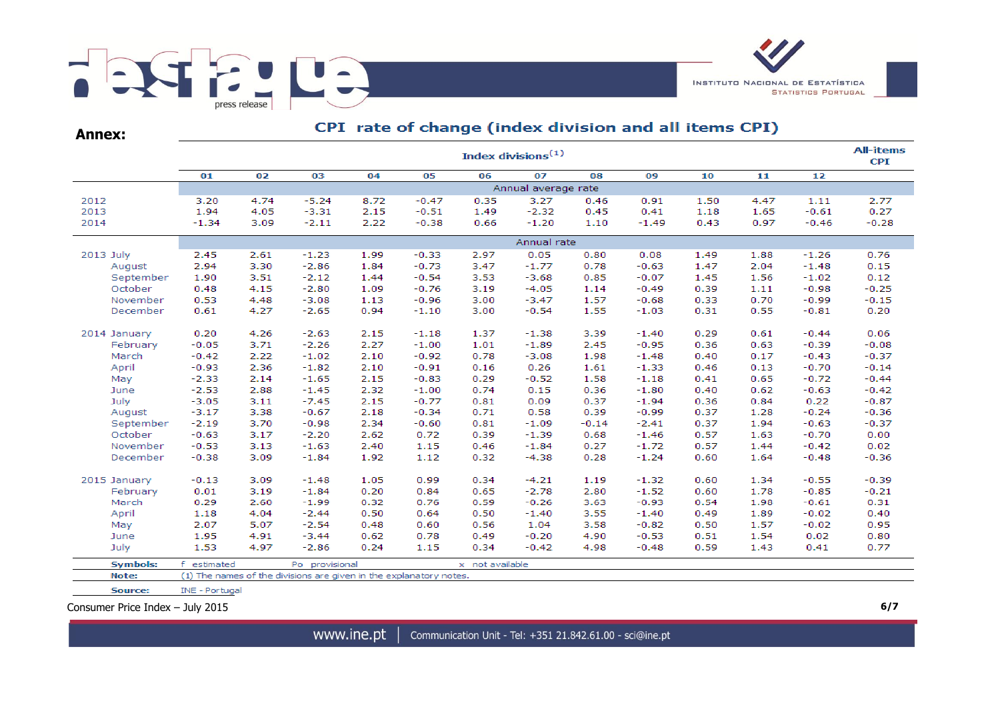

**Annex:**

# CPI rate of change (index division and all items CPI)

|                          |                     | <b>All-items</b><br>Index divisions $(1)$ |                                                                    |      |         |                 |         |         |         |      |      |         |         |  |  |  |
|--------------------------|---------------------|-------------------------------------------|--------------------------------------------------------------------|------|---------|-----------------|---------|---------|---------|------|------|---------|---------|--|--|--|
|                          | 01                  | 02                                        | 03                                                                 | 04   | 05      | 06              | 07      | 08      | 09      | 10   | 11   | 12      |         |  |  |  |
|                          | Annual average rate |                                           |                                                                    |      |         |                 |         |         |         |      |      |         |         |  |  |  |
| 2012                     | 3.20                | 4.74                                      | $-5.24$                                                            | 8.72 | $-0.47$ | 0.35            | 3.27    | 0.46    | 0.91    | 1.50 | 4.47 | 1.11    | 2.77    |  |  |  |
| 2013                     | 1.94                | 4.05                                      | $-3.31$                                                            | 2.15 | $-0.51$ | 1.49            | $-2.32$ | 0.45    | 0.41    | 1.18 | 1.65 | $-0.61$ | 0.27    |  |  |  |
| 2014                     | $-1.34$             | 3.09                                      | $-2.11$                                                            | 2.22 | $-0.38$ | 0.66            | $-1.20$ | 1.10    | $-1.49$ | 0.43 | 0.97 | $-0.46$ | $-0.28$ |  |  |  |
|                          | Annual rate         |                                           |                                                                    |      |         |                 |         |         |         |      |      |         |         |  |  |  |
| 2013 July                | 2.45                | 2.61                                      | $-1.23$                                                            | 1.99 | $-0.33$ | 2.97            | 0.05    | 0.80    | 0.08    | 1.49 | 1.88 | $-1.26$ | 0.76    |  |  |  |
| August                   | 2.94                | 3.30                                      | $-2.86$                                                            | 1.84 | $-0.73$ | 3.47            | $-1.77$ | 0.78    | $-0.63$ | 1.47 | 2.04 | $-1.48$ | 0.15    |  |  |  |
| September                | 1.90                | 3.51                                      | $-2.12$                                                            | 1.44 | $-0.54$ | 3.53            | $-3.68$ | 0.85    | $-0.07$ | 1.45 | 1.56 | $-1.02$ | 0.12    |  |  |  |
| October                  | 0.48                | 4.15                                      | $-2.80$                                                            | 1.09 | $-0.76$ | 3.19            | $-4.05$ | 1.14    | $-0.49$ | 0.39 | 1.11 | $-0.98$ | $-0.25$ |  |  |  |
| November                 | 0.53                | 4.48                                      | $-3.08$                                                            | 1.13 | $-0.96$ | 3.00            | $-3.47$ | 1.57    | $-0.68$ | 0.33 | 0.70 | $-0.99$ | $-0.15$ |  |  |  |
| December                 | 0.61                | 4.27                                      | $-2.65$                                                            | 0.94 | $-1.10$ | 3.00            | $-0.54$ | 1.55    | $-1.03$ | 0.31 | 0.55 | $-0.81$ | 0.20    |  |  |  |
|                          | 0.20                | 4.26                                      | $-2.63$                                                            | 2.15 | $-1.18$ | 1.37            | $-1.38$ | 3.39    | $-1.40$ | 0.29 | 0.61 | $-0.44$ | 0.06    |  |  |  |
| 2014 January<br>February | $-0.05$             | 3.71                                      | $-2.26$                                                            | 2.27 | $-1.00$ | 1.01            | $-1.89$ | 2.45    | $-0.95$ | 0.36 | 0.63 | $-0.39$ | $-0.08$ |  |  |  |
| March                    | $-0.42$             | 2.22                                      | $-1.02$                                                            | 2.10 | $-0.92$ | 0.78            | $-3.08$ | 1.98    | $-1.48$ | 0.40 | 0.17 | $-0.43$ | $-0.37$ |  |  |  |
| April                    | $-0.93$             | 2.36                                      | $-1.82$                                                            | 2.10 | $-0.91$ | 0.16            | 0.26    | 1.61    | $-1.33$ | 0.46 | 0.13 | $-0.70$ | $-0.14$ |  |  |  |
| May                      | $-2.33$             | 2.14                                      | $-1.65$                                                            | 2.15 | $-0.83$ | 0.29            | $-0.52$ | 1.58    | $-1.18$ | 0.41 | 0.65 | $-0.72$ | $-0.44$ |  |  |  |
| June                     | $-2.53$             | 2.88                                      | $-1.45$                                                            | 2.32 | $-1.00$ | 0.74            | 0.15    | 0.36    | $-1.80$ | 0.40 | 0.62 | $-0.63$ | $-0.42$ |  |  |  |
| July                     | $-3.05$             | 3.11                                      | $-7.45$                                                            | 2.15 | $-0.77$ | 0.81            | 0.09    | 0.37    | $-1.94$ | 0.36 | 0.84 | 0.22    | $-0.87$ |  |  |  |
| August                   | $-3.17$             | 3.38                                      | $-0.67$                                                            | 2.18 | $-0.34$ | 0.71            | 0.58    | 0.39    | $-0.99$ | 0.37 | 1.28 | $-0.24$ | $-0.36$ |  |  |  |
| September                | $-2.19$             | 3.70                                      | $-0.98$                                                            | 2.34 | $-0.60$ | 0.81            | $-1.09$ | $-0.14$ | $-2.41$ | 0.37 | 1.94 | $-0.63$ | $-0.37$ |  |  |  |
| October                  | $-0.63$             | 3.17                                      | $-2.20$                                                            | 2.62 | 0.72    | 0.39            | $-1.39$ | 0.68    | $-1.46$ | 0.57 | 1.63 | $-0.70$ | 0.00    |  |  |  |
| November                 | $-0.53$             | 3.13                                      | $-1.63$                                                            | 2.40 | 1.15    | 0.46            | $-1.84$ | 0.27    | $-1.72$ | 0.57 | 1.44 | $-0.42$ | 0.02    |  |  |  |
| December                 | $-0.38$             | 3.09                                      | $-1.84$                                                            | 1.92 | 1.12    | 0.32            | $-4.38$ | 0.28    | $-1.24$ | 0.60 | 1.64 | $-0.48$ | $-0.36$ |  |  |  |
|                          |                     |                                           |                                                                    |      |         |                 |         |         |         |      |      |         |         |  |  |  |
| 2015 January             | $-0.13$             | 3.09                                      | $-1.48$                                                            | 1.05 | 0.99    | 0.34            | $-4.21$ | 1.19    | $-1.32$ | 0.60 | 1.34 | $-0.55$ | $-0.39$ |  |  |  |
| February                 | 0.01                | 3.19                                      | $-1.84$                                                            | 0.20 | 0.84    | 0.65            | $-2.78$ | 2.80    | $-1.52$ | 0.60 | 1.78 | $-0.85$ | $-0.21$ |  |  |  |
| March                    | 0.29                | 2.60                                      | $-1.99$                                                            | 0.32 | 0.76    | 0.59            | $-0.26$ | 3.63    | $-0.93$ | 0.54 | 1.98 | $-0.61$ | 0.31    |  |  |  |
| April                    | 1.18                | 4.04                                      | $-2.44$                                                            | 0.50 | 0.64    | 0.50            | $-1.40$ | 3.55    | $-1.40$ | 0.49 | 1.89 | $-0.02$ | 0.40    |  |  |  |
| May                      | 2.07                | 5.07                                      | $-2.54$                                                            | 0.48 | 0.60    | 0.56            | 1.04    | 3.58    | $-0.82$ | 0.50 | 1.57 | $-0.02$ | 0.95    |  |  |  |
| June                     | 1.95                | 4.91                                      | $-3.44$                                                            | 0.62 | 0.78    | 0.49            | $-0.20$ | 4.90    | $-0.53$ | 0.51 | 1.54 | 0.02    | 0.80    |  |  |  |
| July                     | 1.53                | 4.97                                      | $-2.86$                                                            | 0.24 | 1.15    | 0.34            | $-0.42$ | 4.98    | $-0.48$ | 0.59 | 1.43 | 0.41    | 0.77    |  |  |  |
| <b>Symbols:</b>          | f estimated         |                                           | Po provisional                                                     |      |         | x not available |         |         |         |      |      |         |         |  |  |  |
| Note:                    |                     |                                           | (1) The names of the divisions are given in the explanatory notes. |      |         |                 |         |         |         |      |      |         |         |  |  |  |
| Source:                  | INE - Portugal      |                                           |                                                                    |      |         |                 |         |         |         |      |      |         |         |  |  |  |

Consumer Price Index – July 2015 **6/7**

www.ine.pt | Communication Unit - Tel: +351 21.842.61.00 - sci@ine.pt